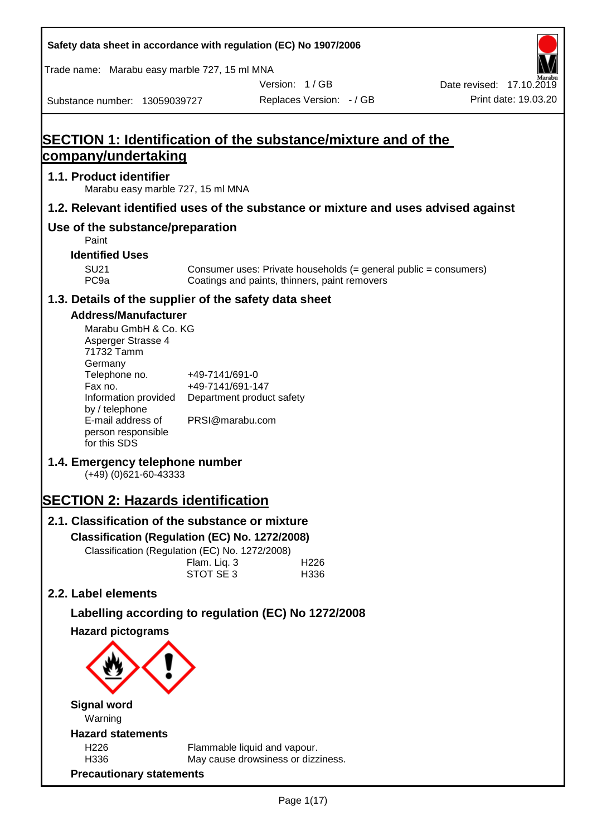|                                                                                                                                                                                                                                                                                                                                                                                                                                                                                                    |                                                                                    | Safety data sheet in accordance with regulation (EC) No 1907/2006                                                 |                          |
|----------------------------------------------------------------------------------------------------------------------------------------------------------------------------------------------------------------------------------------------------------------------------------------------------------------------------------------------------------------------------------------------------------------------------------------------------------------------------------------------------|------------------------------------------------------------------------------------|-------------------------------------------------------------------------------------------------------------------|--------------------------|
| Trade name: Marabu easy marble 727, 15 ml MNA                                                                                                                                                                                                                                                                                                                                                                                                                                                      |                                                                                    |                                                                                                                   |                          |
|                                                                                                                                                                                                                                                                                                                                                                                                                                                                                                    |                                                                                    | Version: 1/GB                                                                                                     | Date revised: 17.10.2019 |
| Substance number: 13059039727                                                                                                                                                                                                                                                                                                                                                                                                                                                                      |                                                                                    | Replaces Version: - / GB                                                                                          | Print date: 19.03.20     |
| company/undertaking                                                                                                                                                                                                                                                                                                                                                                                                                                                                                |                                                                                    | SECTION 1: Identification of the substance/mixture and of the                                                     |                          |
|                                                                                                                                                                                                                                                                                                                                                                                                                                                                                                    |                                                                                    |                                                                                                                   |                          |
| 1.1. Product identifier<br>Marabu easy marble 727, 15 ml MNA                                                                                                                                                                                                                                                                                                                                                                                                                                       |                                                                                    |                                                                                                                   |                          |
|                                                                                                                                                                                                                                                                                                                                                                                                                                                                                                    |                                                                                    | 1.2. Relevant identified uses of the substance or mixture and uses advised against                                |                          |
| Use of the substance/preparation<br>Paint                                                                                                                                                                                                                                                                                                                                                                                                                                                          |                                                                                    |                                                                                                                   |                          |
| <b>Identified Uses</b>                                                                                                                                                                                                                                                                                                                                                                                                                                                                             |                                                                                    |                                                                                                                   |                          |
| <b>SU21</b><br>PC <sub>9a</sub>                                                                                                                                                                                                                                                                                                                                                                                                                                                                    |                                                                                    | Consumer uses: Private households (= general public = consumers)<br>Coatings and paints, thinners, paint removers |                          |
| 1.3. Details of the supplier of the safety data sheet                                                                                                                                                                                                                                                                                                                                                                                                                                              |                                                                                    |                                                                                                                   |                          |
| <b>Address/Manufacturer</b><br>Marabu GmbH & Co. KG<br>Asperger Strasse 4<br>71732 Tamm<br>Germany<br>Telephone no.<br>Fax no.<br>Information provided<br>by / telephone<br>E-mail address of<br>person responsible<br>for this SDS<br>1.4. Emergency telephone number<br>(+49) (0)621-60-43333<br><b>SECTION 2: Hazards identification</b><br>2.1. Classification of the substance or mixture<br>Classification (Regulation (EC) No. 1272/2008)<br>Classification (Regulation (EC) No. 1272/2008) | +49-7141/691-0<br>+49-7141/691-147<br>PRSI@marabu.com<br>Flam. Liq. 3<br>STOT SE 3 | Department product safety<br>H <sub>226</sub><br>H336                                                             |                          |
| 2.2. Label elements                                                                                                                                                                                                                                                                                                                                                                                                                                                                                |                                                                                    |                                                                                                                   |                          |
|                                                                                                                                                                                                                                                                                                                                                                                                                                                                                                    |                                                                                    | Labelling according to regulation (EC) No 1272/2008                                                               |                          |
| <b>Hazard pictograms</b><br><b>Signal word</b>                                                                                                                                                                                                                                                                                                                                                                                                                                                     |                                                                                    |                                                                                                                   |                          |
| Warning                                                                                                                                                                                                                                                                                                                                                                                                                                                                                            |                                                                                    |                                                                                                                   |                          |
| <b>Hazard statements</b>                                                                                                                                                                                                                                                                                                                                                                                                                                                                           |                                                                                    |                                                                                                                   |                          |
| H <sub>226</sub>                                                                                                                                                                                                                                                                                                                                                                                                                                                                                   |                                                                                    | Flammable liquid and vapour.                                                                                      |                          |
| H336<br><b>Precautionary statements</b>                                                                                                                                                                                                                                                                                                                                                                                                                                                            |                                                                                    | May cause drowsiness or dizziness.                                                                                |                          |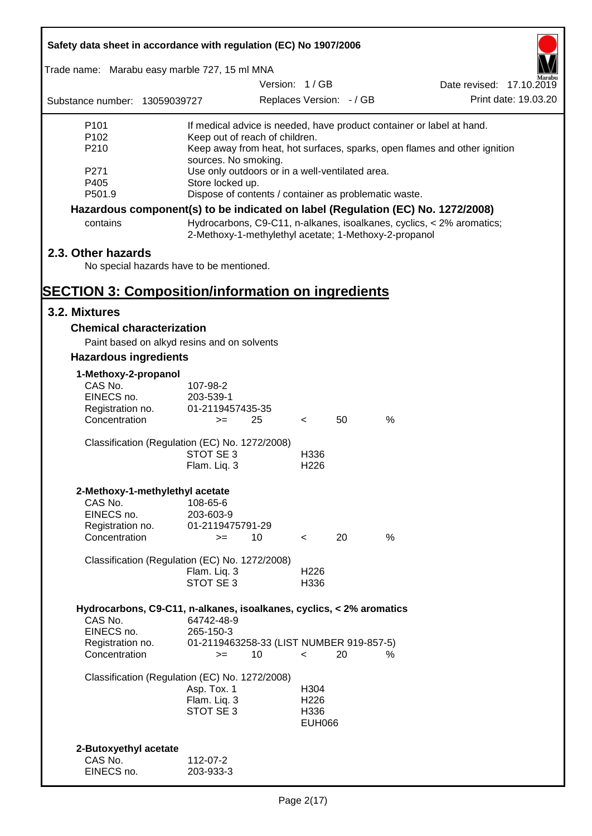| Safety data sheet in accordance with regulation (EC) No 1907/2006               |                                                |                                                                           |                          |                          |      |                                                                           |                      |  |
|---------------------------------------------------------------------------------|------------------------------------------------|---------------------------------------------------------------------------|--------------------------|--------------------------|------|---------------------------------------------------------------------------|----------------------|--|
| Trade name: Marabu easy marble 727, 15 ml MNA                                   |                                                |                                                                           |                          |                          |      |                                                                           |                      |  |
|                                                                                 |                                                | Version: 1/GB                                                             |                          |                          |      | Date revised: 17.10.2019                                                  |                      |  |
| Substance number: 13059039727                                                   |                                                |                                                                           |                          | Replaces Version: - / GB |      |                                                                           | Print date: 19.03.20 |  |
| P <sub>101</sub>                                                                |                                                |                                                                           |                          |                          |      | If medical advice is needed, have product container or label at hand.     |                      |  |
| P <sub>102</sub>                                                                |                                                | Keep out of reach of children.                                            |                          |                          |      |                                                                           |                      |  |
| P210                                                                            |                                                |                                                                           |                          |                          |      | Keep away from heat, hot surfaces, sparks, open flames and other ignition |                      |  |
| P <sub>271</sub>                                                                |                                                | sources. No smoking.<br>Use only outdoors or in a well-ventilated area.   |                          |                          |      |                                                                           |                      |  |
| P405                                                                            |                                                |                                                                           |                          |                          |      |                                                                           |                      |  |
| P501.9                                                                          |                                                | Store locked up.<br>Dispose of contents / container as problematic waste. |                          |                          |      |                                                                           |                      |  |
| Hazardous component(s) to be indicated on label (Regulation (EC) No. 1272/2008) |                                                |                                                                           |                          |                          |      |                                                                           |                      |  |
| contains                                                                        |                                                | 2-Methoxy-1-methylethyl acetate; 1-Methoxy-2-propanol                     |                          |                          |      | Hydrocarbons, C9-C11, n-alkanes, isoalkanes, cyclics, < 2% aromatics;     |                      |  |
| 2.3. Other hazards                                                              |                                                |                                                                           |                          |                          |      |                                                                           |                      |  |
|                                                                                 | No special hazards have to be mentioned.       |                                                                           |                          |                          |      |                                                                           |                      |  |
| <b>SECTION 3: Composition/information on ingredients</b>                        |                                                |                                                                           |                          |                          |      |                                                                           |                      |  |
| 3.2. Mixtures                                                                   |                                                |                                                                           |                          |                          |      |                                                                           |                      |  |
| <b>Chemical characterization</b>                                                |                                                |                                                                           |                          |                          |      |                                                                           |                      |  |
|                                                                                 | Paint based on alkyd resins and on solvents    |                                                                           |                          |                          |      |                                                                           |                      |  |
| <b>Hazardous ingredients</b>                                                    |                                                |                                                                           |                          |                          |      |                                                                           |                      |  |
|                                                                                 |                                                |                                                                           |                          |                          |      |                                                                           |                      |  |
| 1-Methoxy-2-propanol<br>CAS No.                                                 | 107-98-2                                       |                                                                           |                          |                          |      |                                                                           |                      |  |
| EINECS no.                                                                      | 203-539-1                                      |                                                                           |                          |                          |      |                                                                           |                      |  |
| Registration no.                                                                | 01-2119457435-35                               |                                                                           |                          |                          |      |                                                                           |                      |  |
| Concentration                                                                   | $>=$                                           | 25                                                                        | $\lt$                    | 50                       | $\%$ |                                                                           |                      |  |
|                                                                                 | Classification (Regulation (EC) No. 1272/2008) |                                                                           |                          |                          |      |                                                                           |                      |  |
|                                                                                 | STOT SE 3                                      |                                                                           | H336                     |                          |      |                                                                           |                      |  |
|                                                                                 | Flam. Liq. 3                                   |                                                                           | H <sub>226</sub>         |                          |      |                                                                           |                      |  |
| 2-Methoxy-1-methylethyl acetate                                                 |                                                |                                                                           |                          |                          |      |                                                                           |                      |  |
| CAS No.                                                                         | 108-65-6                                       |                                                                           |                          |                          |      |                                                                           |                      |  |
| EINECS no.                                                                      | 203-603-9                                      |                                                                           |                          |                          |      |                                                                           |                      |  |
| Registration no.<br>Concentration                                               | 01-2119475791-29                               |                                                                           |                          | 20                       | %    |                                                                           |                      |  |
|                                                                                 | $>=$                                           | 10                                                                        | $\overline{\phantom{0}}$ |                          |      |                                                                           |                      |  |
|                                                                                 | Classification (Regulation (EC) No. 1272/2008) |                                                                           |                          |                          |      |                                                                           |                      |  |
|                                                                                 | Flam. Liq. 3                                   |                                                                           | H <sub>226</sub>         |                          |      |                                                                           |                      |  |
|                                                                                 | STOT SE 3                                      |                                                                           | H336                     |                          |      |                                                                           |                      |  |
| Hydrocarbons, C9-C11, n-alkanes, isoalkanes, cyclics, < 2% aromatics            |                                                |                                                                           |                          |                          |      |                                                                           |                      |  |
| CAS No.                                                                         | 64742-48-9                                     |                                                                           |                          |                          |      |                                                                           |                      |  |
| EINECS no.                                                                      | 265-150-3                                      |                                                                           |                          |                          |      |                                                                           |                      |  |
| Registration no.<br>Concentration                                               | $>=$                                           | 01-2119463258-33 (LIST NUMBER 919-857-5)<br>10                            | $\prec$                  | 20                       | %    |                                                                           |                      |  |
|                                                                                 |                                                |                                                                           |                          |                          |      |                                                                           |                      |  |
|                                                                                 | Classification (Regulation (EC) No. 1272/2008) |                                                                           |                          |                          |      |                                                                           |                      |  |
|                                                                                 | Asp. Tox. 1<br>Flam. Liq. 3                    |                                                                           | H304<br>H <sub>226</sub> |                          |      |                                                                           |                      |  |
|                                                                                 | STOT SE 3                                      |                                                                           | H336                     |                          |      |                                                                           |                      |  |
|                                                                                 |                                                |                                                                           | <b>EUH066</b>            |                          |      |                                                                           |                      |  |
|                                                                                 |                                                |                                                                           |                          |                          |      |                                                                           |                      |  |
| 2-Butoxyethyl acetate                                                           |                                                |                                                                           |                          |                          |      |                                                                           |                      |  |
| CAS No.                                                                         | 112-07-2                                       |                                                                           |                          |                          |      |                                                                           |                      |  |
| EINECS no.                                                                      | 203-933-3                                      |                                                                           |                          |                          |      |                                                                           |                      |  |

7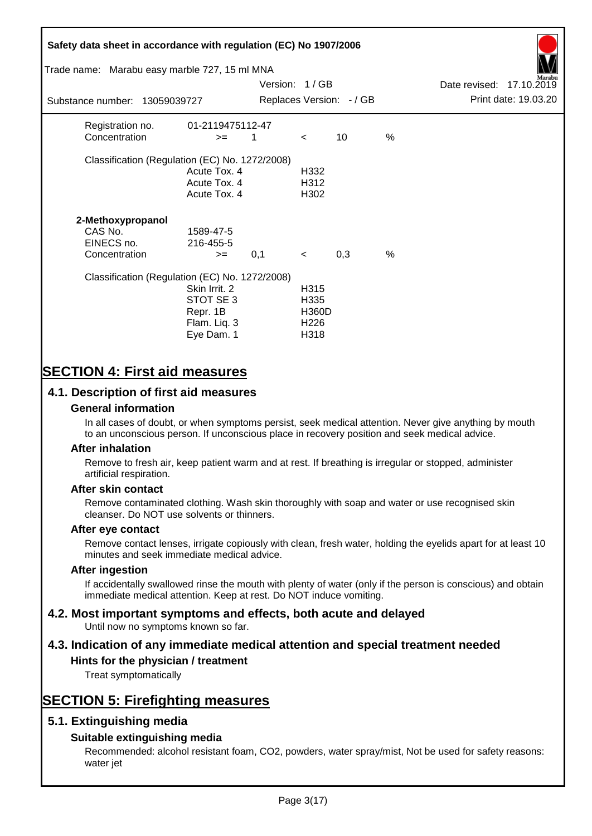# **Safety data sheet in accordance with regulation (EC) No 1907/2006** Substance number: 13059039727 Version: 1 / GB Replaces Version:  $-$  / GB Print date: 19.03.20 Date revised: 17.10.2019 Trade name: Marabu easy marble 727, 15 ml MNA Registration no. 01-2119475112-47  $\text{Concentration}$   $\geq$  1 < 10 % Classification (Regulation (EC) No. 1272/2008) Acute Tox. 4 H332 Acute Tox. 4 H312 Acute Tox. 4 H302 **2-Methoxypropanol** CAS No. 1589-47-5 EINECS no. 216-455-5  $\text{Concentration}$   $\rightarrow$  0.1 < 0.3 % Classification (Regulation (EC) No. 1272/2008) Skin Irrit. 2 H315 STOT SE 3 H335 Repr. 1B H360D Flam. Liq. 3 H226 Eye Dam. 1 H318

# **SECTION 4: First aid measures**

# **4.1. Description of first aid measures**

## **General information**

In all cases of doubt, or when symptoms persist, seek medical attention. Never give anything by mouth to an unconscious person. If unconscious place in recovery position and seek medical advice.

### **After inhalation**

Remove to fresh air, keep patient warm and at rest. If breathing is irregular or stopped, administer artificial respiration.

### **After skin contact**

Remove contaminated clothing. Wash skin thoroughly with soap and water or use recognised skin cleanser. Do NOT use solvents or thinners.

### **After eye contact**

Remove contact lenses, irrigate copiously with clean, fresh water, holding the eyelids apart for at least 10 minutes and seek immediate medical advice.

#### **After ingestion**

If accidentally swallowed rinse the mouth with plenty of water (only if the person is conscious) and obtain immediate medical attention. Keep at rest. Do NOT induce vomiting.

# **4.2. Most important symptoms and effects, both acute and delayed**

Until now no symptoms known so far.

# **4.3. Indication of any immediate medical attention and special treatment needed**

## **Hints for the physician / treatment**

Treat symptomatically

# **SECTION 5: Firefighting measures**

# **5.1. Extinguishing media**

# **Suitable extinguishing media**

Recommended: alcohol resistant foam, CO2, powders, water spray/mist, Not be used for safety reasons: water jet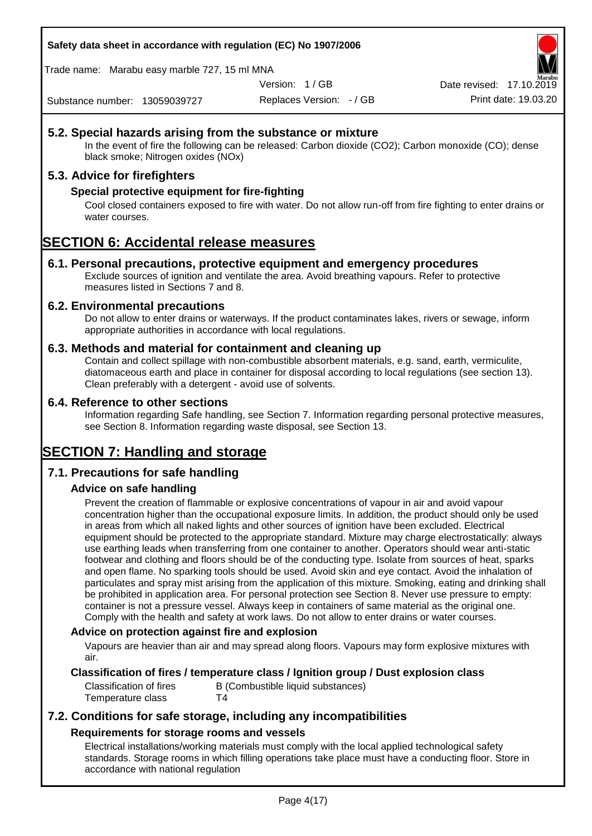#### **Safety data sheet in accordance with regulation (EC) No 1907/2006**

Trade name: Marabu easy marble 727, 15 ml MNA

Version: 1 / GB

Replaces Version: - / GB Print date: 19.03.20 Date revised: 17.10.2

Substance number: 13059039727

# **5.2. Special hazards arising from the substance or mixture**

In the event of fire the following can be released: Carbon dioxide (CO2); Carbon monoxide (CO); dense black smoke; Nitrogen oxides (NOx)

# **5.3. Advice for firefighters**

### **Special protective equipment for fire-fighting**

Cool closed containers exposed to fire with water. Do not allow run-off from fire fighting to enter drains or water courses.

# **SECTION 6: Accidental release measures**

### **6.1. Personal precautions, protective equipment and emergency procedures**

Exclude sources of ignition and ventilate the area. Avoid breathing vapours. Refer to protective measures listed in Sections 7 and 8.

#### **6.2. Environmental precautions**

Do not allow to enter drains or waterways. If the product contaminates lakes, rivers or sewage, inform appropriate authorities in accordance with local regulations.

#### **6.3. Methods and material for containment and cleaning up**

Contain and collect spillage with non-combustible absorbent materials, e.g. sand, earth, vermiculite, diatomaceous earth and place in container for disposal according to local regulations (see section 13). Clean preferably with a detergent - avoid use of solvents.

#### **6.4. Reference to other sections**

Information regarding Safe handling, see Section 7. Information regarding personal protective measures, see Section 8. Information regarding waste disposal, see Section 13.

# **SECTION 7: Handling and storage**

# **7.1. Precautions for safe handling**

### **Advice on safe handling**

Prevent the creation of flammable or explosive concentrations of vapour in air and avoid vapour concentration higher than the occupational exposure limits. In addition, the product should only be used in areas from which all naked lights and other sources of ignition have been excluded. Electrical equipment should be protected to the appropriate standard. Mixture may charge electrostatically: always use earthing leads when transferring from one container to another. Operators should wear anti-static footwear and clothing and floors should be of the conducting type. Isolate from sources of heat, sparks and open flame. No sparking tools should be used. Avoid skin and eye contact. Avoid the inhalation of particulates and spray mist arising from the application of this mixture. Smoking, eating and drinking shall be prohibited in application area. For personal protection see Section 8. Never use pressure to empty: container is not a pressure vessel. Always keep in containers of same material as the original one. Comply with the health and safety at work laws. Do not allow to enter drains or water courses.

### **Advice on protection against fire and explosion**

Vapours are heavier than air and may spread along floors. Vapours may form explosive mixtures with air.

### **Classification of fires / temperature class / Ignition group / Dust explosion class**

Classification of fires B (Combustible liquid substances) Temperature class T4

# **7.2. Conditions for safe storage, including any incompatibilities Requirements for storage rooms and vessels**

Electrical installations/working materials must comply with the local applied technological safety standards. Storage rooms in which filling operations take place must have a conducting floor. Store in accordance with national regulation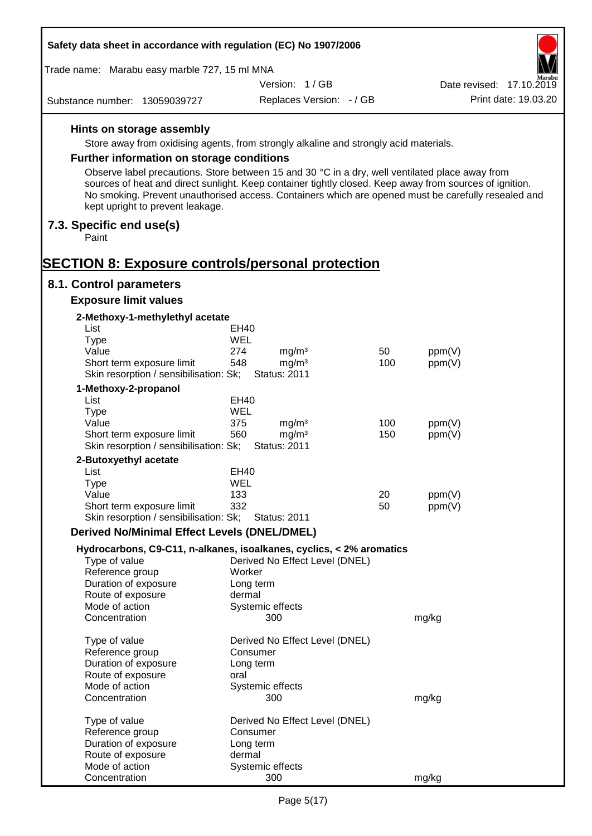| Safety data sheet in accordance with regulation (EC) No 1907/2006                                                                   |                                                 |                          |                                                                                                                                                                                                                |
|-------------------------------------------------------------------------------------------------------------------------------------|-------------------------------------------------|--------------------------|----------------------------------------------------------------------------------------------------------------------------------------------------------------------------------------------------------------|
| Trade name: Marabu easy marble 727, 15 ml MNA                                                                                       |                                                 |                          |                                                                                                                                                                                                                |
|                                                                                                                                     | Version: 1/GB                                   |                          | Date revised: 17.10.2019                                                                                                                                                                                       |
| Substance number: 13059039727                                                                                                       |                                                 | Replaces Version: - / GB | Print date: 19.03.20                                                                                                                                                                                           |
| Hints on storage assembly                                                                                                           |                                                 |                          |                                                                                                                                                                                                                |
| Store away from oxidising agents, from strongly alkaline and strongly acid materials.                                               |                                                 |                          |                                                                                                                                                                                                                |
| <b>Further information on storage conditions</b>                                                                                    |                                                 |                          |                                                                                                                                                                                                                |
| Observe label precautions. Store between 15 and 30 °C in a dry, well ventilated place away from<br>kept upright to prevent leakage. |                                                 |                          | sources of heat and direct sunlight. Keep container tightly closed. Keep away from sources of ignition.<br>No smoking. Prevent unauthorised access. Containers which are opened must be carefully resealed and |
| 7.3. Specific end use(s)<br>Paint                                                                                                   |                                                 |                          |                                                                                                                                                                                                                |
| <b>SECTION 8: Exposure controls/personal protection</b>                                                                             |                                                 |                          |                                                                                                                                                                                                                |
| 8.1. Control parameters                                                                                                             |                                                 |                          |                                                                                                                                                                                                                |
| <b>Exposure limit values</b>                                                                                                        |                                                 |                          |                                                                                                                                                                                                                |
| 2-Methoxy-1-methylethyl acetate                                                                                                     |                                                 |                          |                                                                                                                                                                                                                |
| List                                                                                                                                | EH40                                            |                          |                                                                                                                                                                                                                |
| Type                                                                                                                                | WEL                                             |                          |                                                                                                                                                                                                                |
| Value                                                                                                                               | 274<br>mg/m <sup>3</sup>                        | 50                       | ppm(V)                                                                                                                                                                                                         |
| Short term exposure limit<br>Skin resorption / sensibilisation: Sk;                                                                 | mg/m <sup>3</sup><br>548<br><b>Status: 2011</b> | 100                      | ppm(V)                                                                                                                                                                                                         |
| 1-Methoxy-2-propanol                                                                                                                |                                                 |                          |                                                                                                                                                                                                                |
| List                                                                                                                                | <b>EH40</b>                                     |                          |                                                                                                                                                                                                                |
| <b>Type</b><br>Value                                                                                                                | WEL<br>375<br>mg/m <sup>3</sup>                 | 100                      | ppm(V)                                                                                                                                                                                                         |
| Short term exposure limit<br>Skin resorption / sensibilisation: Sk;                                                                 | 560<br>mg/m <sup>3</sup><br><b>Status: 2011</b> | 150                      | ppm(V)                                                                                                                                                                                                         |
| 2-Butoxyethyl acetate                                                                                                               |                                                 |                          |                                                                                                                                                                                                                |
| List                                                                                                                                | EH40                                            |                          |                                                                                                                                                                                                                |
| Type                                                                                                                                | <b>WEL</b>                                      |                          |                                                                                                                                                                                                                |
| Value                                                                                                                               | 133                                             | 20                       | ppm(V)                                                                                                                                                                                                         |
| Short term exposure limit<br>Skin resorption / sensibilisation: Sk;                                                                 | 332<br><b>Status: 2011</b>                      | 50                       | ppm(V)                                                                                                                                                                                                         |
| <b>Derived No/Minimal Effect Levels (DNEL/DMEL)</b>                                                                                 |                                                 |                          |                                                                                                                                                                                                                |
| Hydrocarbons, C9-C11, n-alkanes, isoalkanes, cyclics, < 2% aromatics                                                                |                                                 |                          |                                                                                                                                                                                                                |
| Type of value                                                                                                                       | Derived No Effect Level (DNEL)                  |                          |                                                                                                                                                                                                                |
| Reference group                                                                                                                     | Worker                                          |                          |                                                                                                                                                                                                                |
| Duration of exposure                                                                                                                | Long term                                       |                          |                                                                                                                                                                                                                |
| Route of exposure                                                                                                                   | dermal                                          |                          |                                                                                                                                                                                                                |
| Mode of action<br>Concentration                                                                                                     | Systemic effects<br>300                         |                          | mg/kg                                                                                                                                                                                                          |
| Type of value                                                                                                                       | Derived No Effect Level (DNEL)                  |                          |                                                                                                                                                                                                                |
| Reference group                                                                                                                     | Consumer                                        |                          |                                                                                                                                                                                                                |
| Duration of exposure                                                                                                                | Long term                                       |                          |                                                                                                                                                                                                                |
| Route of exposure                                                                                                                   | oral                                            |                          |                                                                                                                                                                                                                |
| Mode of action<br>Concentration                                                                                                     | Systemic effects<br>300                         |                          | mg/kg                                                                                                                                                                                                          |
| Type of value                                                                                                                       | Derived No Effect Level (DNEL)                  |                          |                                                                                                                                                                                                                |
| Reference group                                                                                                                     | Consumer                                        |                          |                                                                                                                                                                                                                |
| Duration of exposure                                                                                                                | Long term                                       |                          |                                                                                                                                                                                                                |
| Route of exposure                                                                                                                   | dermal                                          |                          |                                                                                                                                                                                                                |
| Mode of action                                                                                                                      | Systemic effects                                |                          |                                                                                                                                                                                                                |
| Concentration                                                                                                                       | 300                                             |                          | mg/kg                                                                                                                                                                                                          |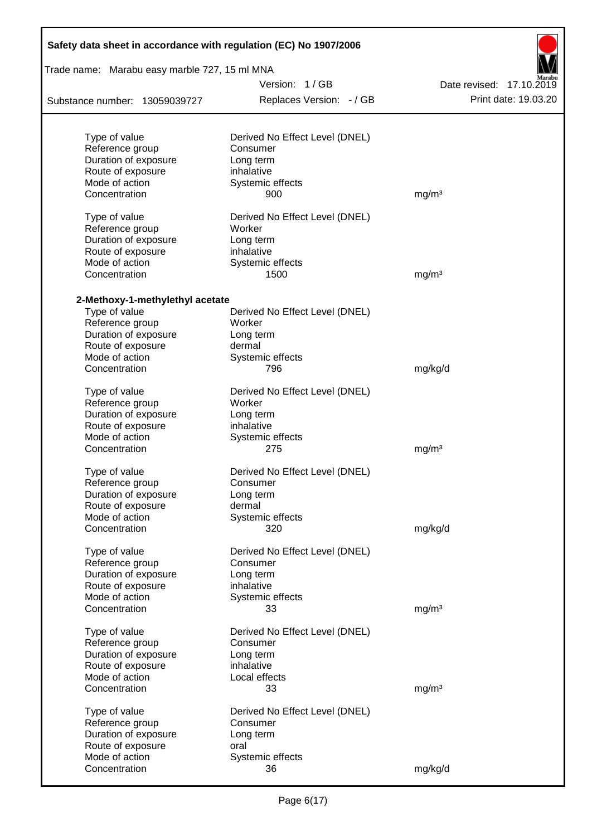| Safety data sheet in accordance with regulation (EC) No 1907/2006 |                                |                          |  |  |  |  |  |  |
|-------------------------------------------------------------------|--------------------------------|--------------------------|--|--|--|--|--|--|
| Trade name: Marabu easy marble 727, 15 ml MNA                     |                                |                          |  |  |  |  |  |  |
|                                                                   | Version: 1/GB                  | Date revised: 17.10.2019 |  |  |  |  |  |  |
| Substance number: 13059039727                                     | Replaces Version: - / GB       | Print date: 19.03.20     |  |  |  |  |  |  |
| Type of value                                                     | Derived No Effect Level (DNEL) |                          |  |  |  |  |  |  |
| Reference group                                                   | Consumer                       |                          |  |  |  |  |  |  |
| Duration of exposure                                              | Long term                      |                          |  |  |  |  |  |  |
| Route of exposure                                                 | inhalative                     |                          |  |  |  |  |  |  |
| Mode of action                                                    | Systemic effects               |                          |  |  |  |  |  |  |
| Concentration                                                     | 900                            | mg/m <sup>3</sup>        |  |  |  |  |  |  |
| Type of value                                                     | Derived No Effect Level (DNEL) |                          |  |  |  |  |  |  |
| Reference group                                                   | Worker                         |                          |  |  |  |  |  |  |
| Duration of exposure                                              | Long term                      |                          |  |  |  |  |  |  |
| Route of exposure                                                 | inhalative                     |                          |  |  |  |  |  |  |
| Mode of action                                                    | Systemic effects               |                          |  |  |  |  |  |  |
| Concentration                                                     | 1500                           | mg/m <sup>3</sup>        |  |  |  |  |  |  |
| 2-Methoxy-1-methylethyl acetate                                   |                                |                          |  |  |  |  |  |  |
| Type of value                                                     | Derived No Effect Level (DNEL) |                          |  |  |  |  |  |  |
| Reference group                                                   | Worker                         |                          |  |  |  |  |  |  |
| Duration of exposure                                              | Long term                      |                          |  |  |  |  |  |  |
| Route of exposure                                                 | dermal                         |                          |  |  |  |  |  |  |
| Mode of action                                                    | Systemic effects               |                          |  |  |  |  |  |  |
| Concentration                                                     | 796                            | mg/kg/d                  |  |  |  |  |  |  |
| Type of value                                                     | Derived No Effect Level (DNEL) |                          |  |  |  |  |  |  |
| Reference group                                                   | Worker                         |                          |  |  |  |  |  |  |
| Duration of exposure                                              | Long term                      |                          |  |  |  |  |  |  |
| Route of exposure                                                 | inhalative                     |                          |  |  |  |  |  |  |
| Mode of action                                                    | Systemic effects               |                          |  |  |  |  |  |  |
| Concentration                                                     | 275                            | mg/m <sup>3</sup>        |  |  |  |  |  |  |
| Type of value                                                     | Derived No Effect Level (DNEL) |                          |  |  |  |  |  |  |
| Reference group                                                   | Consumer                       |                          |  |  |  |  |  |  |
| Duration of exposure                                              | Long term                      |                          |  |  |  |  |  |  |
| Route of exposure                                                 | dermal                         |                          |  |  |  |  |  |  |
| Mode of action                                                    | Systemic effects               |                          |  |  |  |  |  |  |
| Concentration                                                     | 320                            | mg/kg/d                  |  |  |  |  |  |  |
| Type of value                                                     | Derived No Effect Level (DNEL) |                          |  |  |  |  |  |  |
| Reference group                                                   | Consumer                       |                          |  |  |  |  |  |  |
| Duration of exposure                                              | Long term                      |                          |  |  |  |  |  |  |
| Route of exposure                                                 | inhalative                     |                          |  |  |  |  |  |  |
| Mode of action                                                    | Systemic effects               |                          |  |  |  |  |  |  |
| Concentration                                                     | 33                             | mg/m <sup>3</sup>        |  |  |  |  |  |  |
| Type of value                                                     | Derived No Effect Level (DNEL) |                          |  |  |  |  |  |  |
| Reference group                                                   | Consumer                       |                          |  |  |  |  |  |  |
| Duration of exposure                                              | Long term                      |                          |  |  |  |  |  |  |
| Route of exposure                                                 | inhalative                     |                          |  |  |  |  |  |  |
| Mode of action                                                    | Local effects                  |                          |  |  |  |  |  |  |
| Concentration                                                     | 33                             | mg/m <sup>3</sup>        |  |  |  |  |  |  |
| Type of value                                                     | Derived No Effect Level (DNEL) |                          |  |  |  |  |  |  |
| Reference group                                                   | Consumer                       |                          |  |  |  |  |  |  |
| Duration of exposure                                              | Long term                      |                          |  |  |  |  |  |  |
| Route of exposure                                                 | oral                           |                          |  |  |  |  |  |  |
| Mode of action                                                    | Systemic effects               |                          |  |  |  |  |  |  |
| Concentration                                                     | 36                             | mg/kg/d                  |  |  |  |  |  |  |

Ī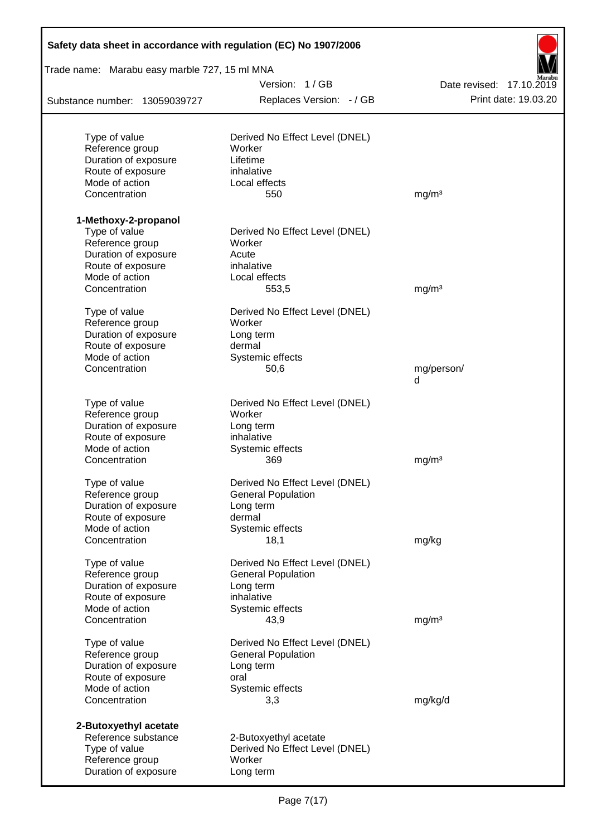| Safety data sheet in accordance with regulation (EC) No 1907/2006 |                                |                          |
|-------------------------------------------------------------------|--------------------------------|--------------------------|
| Trade name: Marabu easy marble 727, 15 ml MNA                     |                                |                          |
|                                                                   | Version: 1/GB                  | Date revised: 17.10.2019 |
| Substance number: 13059039727                                     | Replaces Version: - / GB       | Print date: 19.03.20     |
| Type of value                                                     | Derived No Effect Level (DNEL) |                          |
| Reference group                                                   | Worker                         |                          |
| Duration of exposure                                              | Lifetime                       |                          |
| Route of exposure                                                 | inhalative                     |                          |
| Mode of action                                                    | Local effects                  |                          |
| Concentration                                                     | 550                            | mg/m <sup>3</sup>        |
| 1-Methoxy-2-propanol                                              |                                |                          |
| Type of value                                                     | Derived No Effect Level (DNEL) |                          |
| Reference group                                                   | Worker                         |                          |
| Duration of exposure                                              | Acute                          |                          |
| Route of exposure                                                 | inhalative                     |                          |
| Mode of action                                                    | Local effects                  |                          |
| Concentration                                                     | 553,5                          | mg/m <sup>3</sup>        |
| Type of value                                                     | Derived No Effect Level (DNEL) |                          |
| Reference group                                                   | Worker                         |                          |
| Duration of exposure                                              | Long term                      |                          |
| Route of exposure                                                 | dermal                         |                          |
| Mode of action                                                    | Systemic effects               |                          |
| Concentration                                                     | 50,6                           | mg/person/<br>d          |
| Type of value                                                     | Derived No Effect Level (DNEL) |                          |
| Reference group                                                   | Worker                         |                          |
| Duration of exposure                                              | Long term                      |                          |
| Route of exposure                                                 | inhalative                     |                          |
| Mode of action                                                    | Systemic effects               |                          |
| Concentration                                                     | 369                            | mg/m <sup>3</sup>        |
| Type of value                                                     | Derived No Effect Level (DNEL) |                          |
| Reference group                                                   | <b>General Population</b>      |                          |
| Duration of exposure                                              | Long term                      |                          |
| Route of exposure                                                 | dermal                         |                          |
| Mode of action                                                    | Systemic effects               |                          |
| Concentration                                                     | 18,1                           | mg/kg                    |
| Type of value                                                     | Derived No Effect Level (DNEL) |                          |
| Reference group                                                   | <b>General Population</b>      |                          |
| Duration of exposure                                              | Long term                      |                          |
| Route of exposure                                                 | inhalative                     |                          |
| Mode of action<br>Concentration                                   | Systemic effects<br>43,9       | mg/m <sup>3</sup>        |
|                                                                   |                                |                          |
| Type of value                                                     | Derived No Effect Level (DNEL) |                          |
| Reference group                                                   | <b>General Population</b>      |                          |
| Duration of exposure                                              | Long term                      |                          |
| Route of exposure<br>Mode of action                               | oral                           |                          |
| Concentration                                                     | Systemic effects<br>3,3        | mg/kg/d                  |
| 2-Butoxyethyl acetate                                             |                                |                          |
| Reference substance                                               | 2-Butoxyethyl acetate          |                          |
| Type of value                                                     | Derived No Effect Level (DNEL) |                          |
| Reference group                                                   | Worker                         |                          |
| Duration of exposure                                              | Long term                      |                          |
|                                                                   |                                |                          |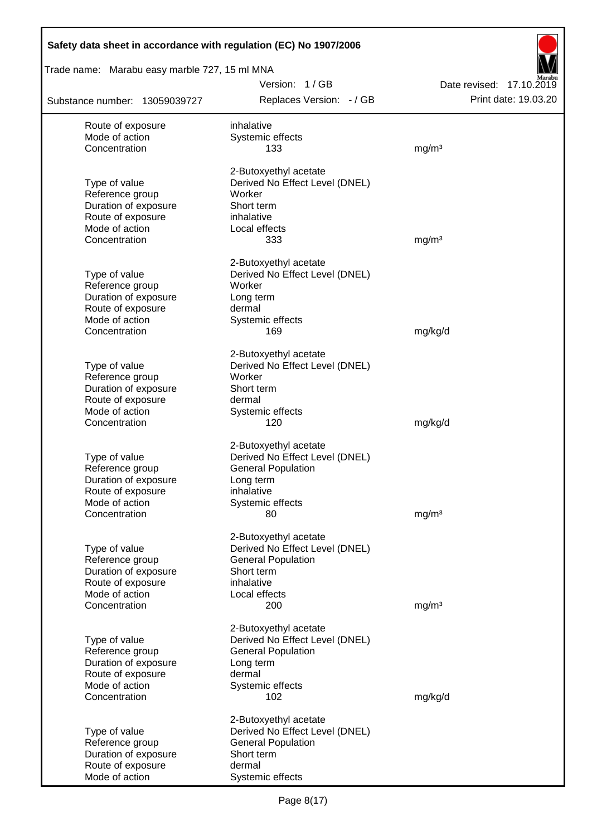| Safety data sheet in accordance with regulation (EC) No 1907/2006 |                                                             |                                                  |
|-------------------------------------------------------------------|-------------------------------------------------------------|--------------------------------------------------|
| Trade name: Marabu easy marble 727, 15 ml MNA                     |                                                             |                                                  |
| Substance number: 13059039727                                     | Version: 1/GB<br>Replaces Version: - / GB                   | Date revised: 17.10.2019<br>Print date: 19.03.20 |
| Route of exposure                                                 | inhalative                                                  |                                                  |
| Mode of action                                                    | Systemic effects                                            |                                                  |
| Concentration                                                     | 133                                                         | mg/m <sup>3</sup>                                |
|                                                                   | 2-Butoxyethyl acetate                                       |                                                  |
| Type of value                                                     | Derived No Effect Level (DNEL)                              |                                                  |
| Reference group                                                   | Worker                                                      |                                                  |
| Duration of exposure                                              | Short term                                                  |                                                  |
| Route of exposure                                                 | inhalative                                                  |                                                  |
| Mode of action<br>Concentration                                   | Local effects<br>333                                        | mg/m <sup>3</sup>                                |
|                                                                   |                                                             |                                                  |
|                                                                   | 2-Butoxyethyl acetate                                       |                                                  |
| Type of value                                                     | Derived No Effect Level (DNEL)                              |                                                  |
| Reference group                                                   | Worker                                                      |                                                  |
| Duration of exposure<br>Route of exposure                         | Long term<br>dermal                                         |                                                  |
| Mode of action                                                    | Systemic effects                                            |                                                  |
| Concentration                                                     | 169                                                         | mg/kg/d                                          |
|                                                                   |                                                             |                                                  |
| Type of value                                                     | 2-Butoxyethyl acetate<br>Derived No Effect Level (DNEL)     |                                                  |
| Reference group                                                   | Worker                                                      |                                                  |
| Duration of exposure                                              | Short term                                                  |                                                  |
| Route of exposure                                                 | dermal                                                      |                                                  |
| Mode of action                                                    | Systemic effects                                            |                                                  |
| Concentration                                                     | 120                                                         | mg/kg/d                                          |
|                                                                   | 2-Butoxyethyl acetate                                       |                                                  |
| Type of value                                                     | Derived No Effect Level (DNEL)                              |                                                  |
| Reference group                                                   | <b>General Population</b>                                   |                                                  |
| Duration of exposure                                              | Long term                                                   |                                                  |
| Route of exposure                                                 | inhalative                                                  |                                                  |
| Mode of action                                                    | Systemic effects                                            |                                                  |
| Concentration                                                     | 80                                                          | mg/m <sup>3</sup>                                |
|                                                                   | 2-Butoxyethyl acetate                                       |                                                  |
| Type of value                                                     | Derived No Effect Level (DNEL)                              |                                                  |
| Reference group                                                   | <b>General Population</b>                                   |                                                  |
| Duration of exposure                                              | Short term                                                  |                                                  |
| Route of exposure<br>Mode of action                               | inhalative<br>Local effects                                 |                                                  |
| Concentration                                                     | 200                                                         | mg/m <sup>3</sup>                                |
|                                                                   |                                                             |                                                  |
|                                                                   | 2-Butoxyethyl acetate                                       |                                                  |
| Type of value<br>Reference group                                  | Derived No Effect Level (DNEL)<br><b>General Population</b> |                                                  |
| Duration of exposure                                              | Long term                                                   |                                                  |
| Route of exposure                                                 | dermal                                                      |                                                  |
| Mode of action                                                    | Systemic effects                                            |                                                  |
| Concentration                                                     | 102                                                         | mg/kg/d                                          |
|                                                                   | 2-Butoxyethyl acetate                                       |                                                  |
| Type of value                                                     | Derived No Effect Level (DNEL)                              |                                                  |
| Reference group                                                   | <b>General Population</b>                                   |                                                  |
| Duration of exposure                                              | Short term                                                  |                                                  |
| Route of exposure                                                 | dermal                                                      |                                                  |
| Mode of action                                                    | Systemic effects                                            |                                                  |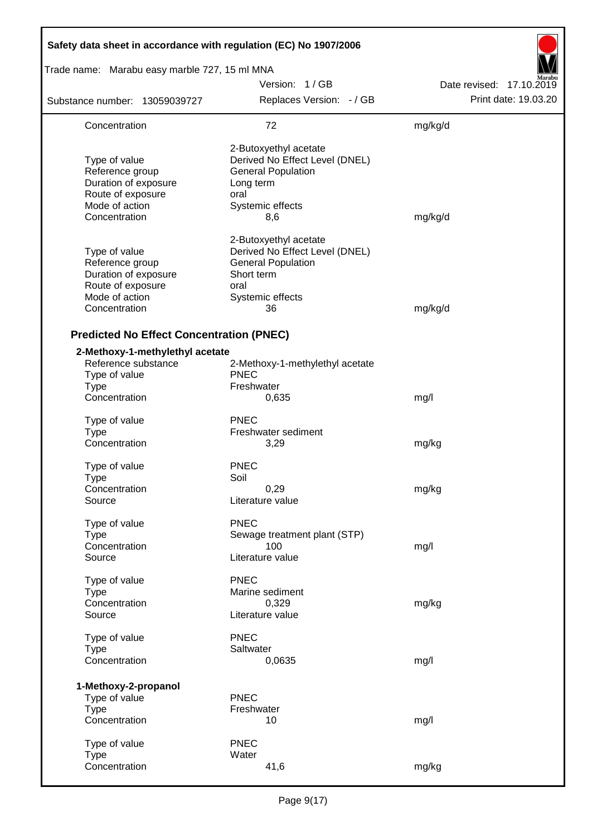| Safety data sheet in accordance with regulation (EC) No 1907/2006                                                |                                                                                                                                      |                          |
|------------------------------------------------------------------------------------------------------------------|--------------------------------------------------------------------------------------------------------------------------------------|--------------------------|
| Trade name: Marabu easy marble 727, 15 ml MNA                                                                    |                                                                                                                                      |                          |
|                                                                                                                  | Version: 1/GB                                                                                                                        | Date revised: 17.10.2019 |
| Substance number: 13059039727                                                                                    | Replaces Version: - / GB                                                                                                             | Print date: 19.03.20     |
| Concentration                                                                                                    | 72                                                                                                                                   | mg/kg/d                  |
| Type of value<br>Reference group<br>Duration of exposure<br>Route of exposure<br>Mode of action<br>Concentration | 2-Butoxyethyl acetate<br>Derived No Effect Level (DNEL)<br><b>General Population</b><br>Long term<br>oral<br>Systemic effects<br>8,6 | mg/kg/d                  |
| Type of value<br>Reference group<br>Duration of exposure<br>Route of exposure<br>Mode of action<br>Concentration | 2-Butoxyethyl acetate<br>Derived No Effect Level (DNEL)<br><b>General Population</b><br>Short term<br>oral<br>Systemic effects<br>36 | mg/kg/d                  |
| <b>Predicted No Effect Concentration (PNEC)</b>                                                                  |                                                                                                                                      |                          |
| 2-Methoxy-1-methylethyl acetate<br>Reference substance<br>Type of value<br><b>Type</b><br>Concentration          | 2-Methoxy-1-methylethyl acetate<br><b>PNEC</b><br>Freshwater<br>0,635                                                                | mg/l                     |
|                                                                                                                  |                                                                                                                                      |                          |
| Type of value<br><b>Type</b><br>Concentration                                                                    | <b>PNEC</b><br>Freshwater sediment<br>3,29                                                                                           | mg/kg                    |
| Type of value<br>Type<br>Concentration<br>Source                                                                 | <b>PNEC</b><br>Soil<br>0,29<br>Literature value                                                                                      | mg/kg                    |
| Type of value<br><b>Type</b><br>Concentration<br>Source                                                          | <b>PNEC</b><br>Sewage treatment plant (STP)<br>100<br>Literature value                                                               | mg/l                     |
| Type of value<br><b>Type</b><br>Concentration<br>Source                                                          | <b>PNEC</b><br>Marine sediment<br>0,329<br>Literature value                                                                          | mg/kg                    |
| Type of value<br><b>Type</b><br>Concentration                                                                    | <b>PNEC</b><br>Saltwater<br>0,0635                                                                                                   | mg/l                     |
| 1-Methoxy-2-propanol<br>Type of value<br><b>Type</b><br>Concentration                                            | <b>PNEC</b><br>Freshwater<br>10                                                                                                      | mg/l                     |
| Type of value<br><b>Type</b><br>Concentration                                                                    | <b>PNEC</b><br>Water<br>41,6                                                                                                         | mg/kg                    |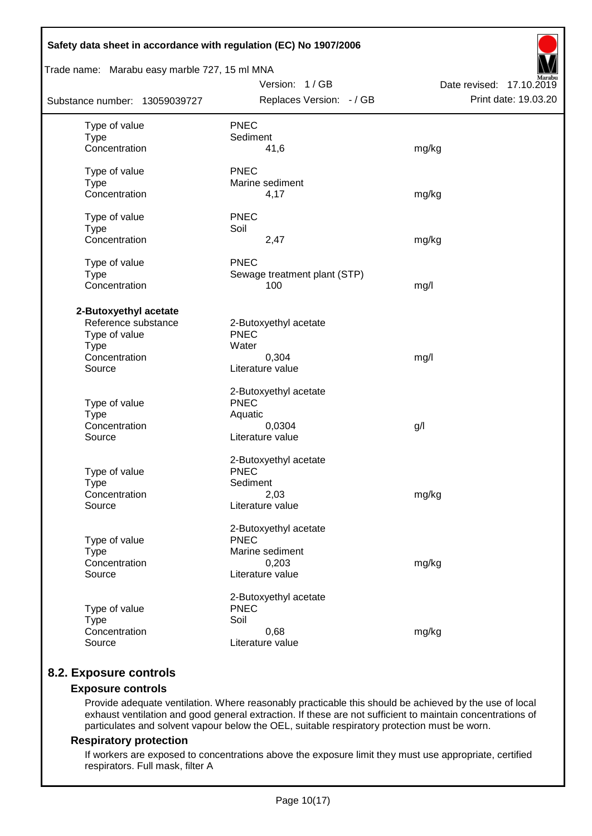| Safety data sheet in accordance with regulation (EC) No 1907/2006                                       |                                                                                      |                                                  |
|---------------------------------------------------------------------------------------------------------|--------------------------------------------------------------------------------------|--------------------------------------------------|
| Trade name: Marabu easy marble 727, 15 ml MNA                                                           | Version: 1 / GB                                                                      |                                                  |
| Substance number: 13059039727                                                                           | Replaces Version: - / GB                                                             | Date revised: 17.10.2019<br>Print date: 19.03.20 |
| Type of value<br><b>Type</b><br>Concentration                                                           | <b>PNEC</b><br>Sediment<br>41,6                                                      | mg/kg                                            |
| Type of value<br><b>Type</b><br>Concentration                                                           | <b>PNEC</b><br>Marine sediment<br>4,17                                               | mg/kg                                            |
| Type of value<br><b>Type</b><br>Concentration                                                           | <b>PNEC</b><br>Soil<br>2,47                                                          | mg/kg                                            |
| Type of value<br><b>Type</b><br>Concentration                                                           | <b>PNEC</b><br>Sewage treatment plant (STP)<br>100                                   | mg/l                                             |
| 2-Butoxyethyl acetate<br>Reference substance<br>Type of value<br><b>Type</b><br>Concentration<br>Source | 2-Butoxyethyl acetate<br><b>PNEC</b><br>Water<br>0,304<br>Literature value           | mg/l                                             |
| Type of value<br><b>Type</b><br>Concentration<br>Source                                                 | 2-Butoxyethyl acetate<br><b>PNEC</b><br>Aquatic<br>0,0304<br>Literature value        | g/                                               |
| Type of value<br><b>Type</b><br>Concentration<br>Source                                                 | 2-Butoxyethyl acetate<br><b>PNEC</b><br>Sediment<br>2,03<br>Literature value         | mg/kg                                            |
| Type of value<br><b>Type</b><br>Concentration<br>Source                                                 | 2-Butoxyethyl acetate<br><b>PNEC</b><br>Marine sediment<br>0,203<br>Literature value | mg/kg                                            |
| Type of value<br><b>Type</b><br>Concentration<br>Source                                                 | 2-Butoxyethyl acetate<br><b>PNEC</b><br>Soil<br>0,68<br>Literature value             | mg/kg                                            |

# **8.2. Exposure controls**

# **Exposure controls**

Provide adequate ventilation. Where reasonably practicable this should be achieved by the use of local exhaust ventilation and good general extraction. If these are not sufficient to maintain concentrations of particulates and solvent vapour below the OEL, suitable respiratory protection must be worn.

## **Respiratory protection**

If workers are exposed to concentrations above the exposure limit they must use appropriate, certified respirators. Full mask, filter A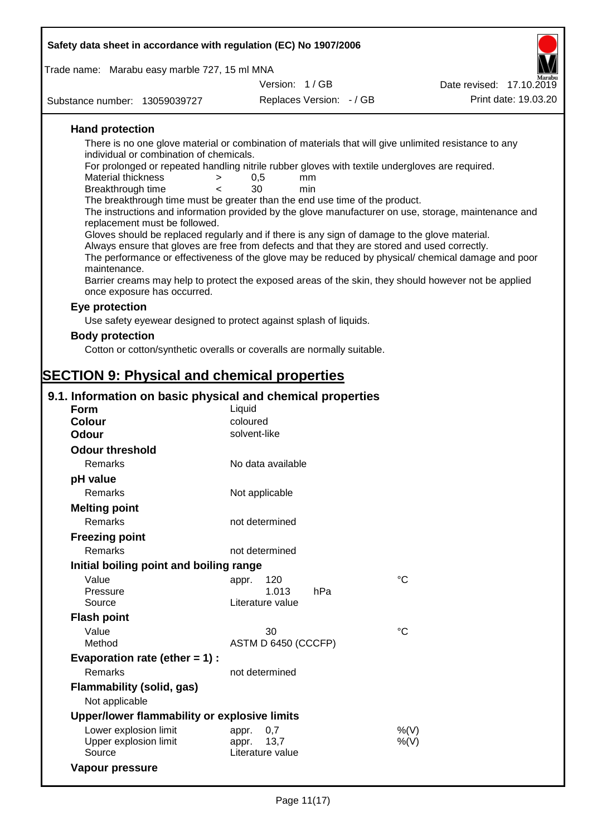| Safety data sheet in accordance with regulation (EC) No 1907/2006                                                                                |                          |                          |                                                                                                      |
|--------------------------------------------------------------------------------------------------------------------------------------------------|--------------------------|--------------------------|------------------------------------------------------------------------------------------------------|
| Trade name: Marabu easy marble 727, 15 ml MNA                                                                                                    |                          |                          |                                                                                                      |
|                                                                                                                                                  | Version: 1/GB            |                          | Date revised: 17.10.2019                                                                             |
| Substance number: 13059039727                                                                                                                    |                          | Replaces Version: - / GB | Print date: 19.03.20                                                                                 |
|                                                                                                                                                  |                          |                          |                                                                                                      |
| <b>Hand protection</b>                                                                                                                           |                          |                          |                                                                                                      |
| There is no one glove material or combination of materials that will give unlimited resistance to any<br>individual or combination of chemicals. |                          |                          |                                                                                                      |
| For prolonged or repeated handling nitrile rubber gloves with textile undergloves are required.                                                  |                          |                          |                                                                                                      |
| <b>Material thickness</b><br>$\geq$                                                                                                              | 0,5<br>mm                |                          |                                                                                                      |
| Breakthrough time<br>$\overline{\phantom{a}}$<br>The breakthrough time must be greater than the end use time of the product.                     | 30<br>min                |                          |                                                                                                      |
|                                                                                                                                                  |                          |                          | The instructions and information provided by the glove manufacturer on use, storage, maintenance and |
| replacement must be followed.                                                                                                                    |                          |                          |                                                                                                      |
| Gloves should be replaced regularly and if there is any sign of damage to the glove material.                                                    |                          |                          |                                                                                                      |
| Always ensure that gloves are free from defects and that they are stored and used correctly.                                                     |                          |                          | The performance or effectiveness of the glove may be reduced by physical/ chemical damage and poor   |
| maintenance.                                                                                                                                     |                          |                          |                                                                                                      |
| Barrier creams may help to protect the exposed areas of the skin, they should however not be applied                                             |                          |                          |                                                                                                      |
| once exposure has occurred.                                                                                                                      |                          |                          |                                                                                                      |
| Eye protection                                                                                                                                   |                          |                          |                                                                                                      |
| Use safety eyewear designed to protect against splash of liquids.                                                                                |                          |                          |                                                                                                      |
| <b>Body protection</b>                                                                                                                           |                          |                          |                                                                                                      |
| Cotton or cotton/synthetic overalls or coveralls are normally suitable.                                                                          |                          |                          |                                                                                                      |
|                                                                                                                                                  |                          |                          |                                                                                                      |
| <b>SECTION 9: Physical and chemical properties</b>                                                                                               |                          |                          |                                                                                                      |
| 9.1. Information on basic physical and chemical properties                                                                                       |                          |                          |                                                                                                      |
| <b>Form</b>                                                                                                                                      | Liquid                   |                          |                                                                                                      |
| <b>Colour</b><br><b>Odour</b>                                                                                                                    | coloured<br>solvent-like |                          |                                                                                                      |
|                                                                                                                                                  |                          |                          |                                                                                                      |
| <b>Odour threshold</b>                                                                                                                           |                          |                          |                                                                                                      |
| Remarks                                                                                                                                          | No data available        |                          |                                                                                                      |
| pH value                                                                                                                                         |                          |                          |                                                                                                      |
| Remarks                                                                                                                                          | Not applicable           |                          |                                                                                                      |
| <b>Melting point</b>                                                                                                                             |                          |                          |                                                                                                      |
| Remarks                                                                                                                                          | not determined           |                          |                                                                                                      |
| <b>Freezing point</b>                                                                                                                            |                          |                          |                                                                                                      |
| Remarks                                                                                                                                          | not determined           |                          |                                                                                                      |
| Initial boiling point and boiling range                                                                                                          |                          |                          |                                                                                                      |
| Value<br>Pressure                                                                                                                                | 120<br>appr.<br>1.013    | hPa                      | $\rm ^{\circ}C$                                                                                      |
| Source                                                                                                                                           | Literature value         |                          |                                                                                                      |
| <b>Flash point</b>                                                                                                                               |                          |                          |                                                                                                      |
| Value                                                                                                                                            | 30                       |                          | $\rm ^{\circ}C$                                                                                      |
| Method                                                                                                                                           | ASTM D 6450 (CCCFP)      |                          |                                                                                                      |
| Evaporation rate (ether $= 1$ ) :                                                                                                                |                          |                          |                                                                                                      |
| Remarks                                                                                                                                          | not determined           |                          |                                                                                                      |
| <b>Flammability (solid, gas)</b>                                                                                                                 |                          |                          |                                                                                                      |
| Not applicable                                                                                                                                   |                          |                          |                                                                                                      |
| Upper/lower flammability or explosive limits                                                                                                     |                          |                          |                                                                                                      |
|                                                                                                                                                  |                          |                          |                                                                                                      |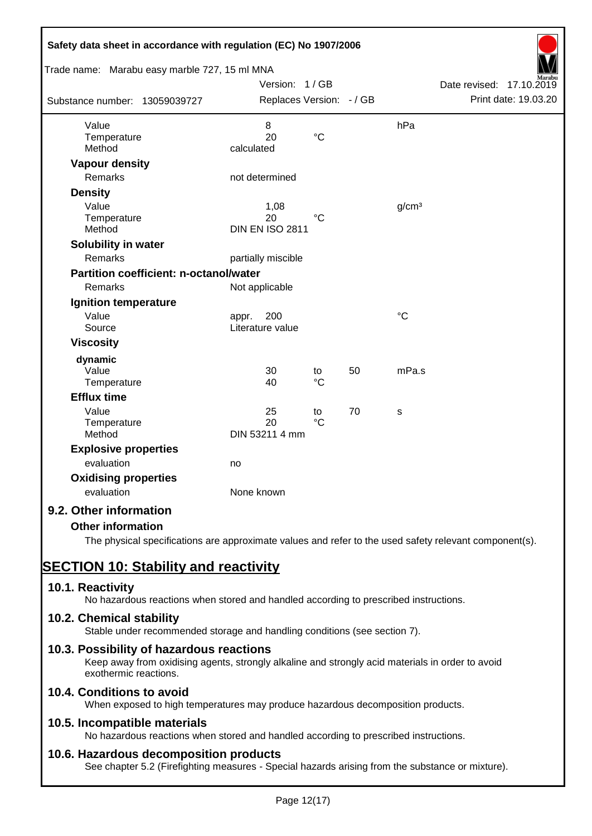| Safety data sheet in accordance with regulation (EC) No 1907/2006              |                                             |                 |    |                   |                                                  |
|--------------------------------------------------------------------------------|---------------------------------------------|-----------------|----|-------------------|--------------------------------------------------|
| Trade name: Marabu easy marble 727, 15 ml MNA<br>Substance number: 13059039727 | Version: 1 / GB<br>Replaces Version: - / GB |                 |    |                   | Date revised: 17.10.2019<br>Print date: 19.03.20 |
| Value<br>Temperature<br>Method                                                 | $\,8\,$<br>20<br>calculated                 | $\rm ^{\circ}C$ |    | hPa               |                                                  |
| <b>Vapour density</b>                                                          |                                             |                 |    |                   |                                                  |
| Remarks                                                                        | not determined                              |                 |    |                   |                                                  |
| <b>Density</b>                                                                 |                                             |                 |    |                   |                                                  |
| Value<br>Temperature<br>Method                                                 | 1,08<br>20<br><b>DIN EN ISO 2811</b>        | $\rm ^{\circ}C$ |    | g/cm <sup>3</sup> |                                                  |
| Solubility in water                                                            |                                             |                 |    |                   |                                                  |
| Remarks                                                                        | partially miscible                          |                 |    |                   |                                                  |
| <b>Partition coefficient: n-octanol/water</b>                                  |                                             |                 |    |                   |                                                  |
| Remarks                                                                        | Not applicable                              |                 |    |                   |                                                  |
| Ignition temperature                                                           |                                             |                 |    |                   |                                                  |
| Value<br>Source                                                                | 200<br>appr.<br>Literature value            |                 |    | $\rm ^{\circ}C$   |                                                  |
| <b>Viscosity</b>                                                               |                                             |                 |    |                   |                                                  |
| dynamic                                                                        |                                             |                 |    |                   |                                                  |
| Value                                                                          | 30                                          | to              | 50 | mPa.s             |                                                  |
| Temperature                                                                    | 40                                          | $\rm ^{\circ}C$ |    |                   |                                                  |
| <b>Efflux time</b>                                                             |                                             |                 |    |                   |                                                  |
| Value                                                                          | 25                                          | to              | 70 | s                 |                                                  |
| Temperature<br>Method                                                          | 20<br>DIN 53211 4 mm                        | $\rm ^{\circ}C$ |    |                   |                                                  |
| <b>Explosive properties</b>                                                    |                                             |                 |    |                   |                                                  |
| evaluation                                                                     | no                                          |                 |    |                   |                                                  |
| <b>Oxidising properties</b>                                                    |                                             |                 |    |                   |                                                  |
| evaluation                                                                     | None known                                  |                 |    |                   |                                                  |
| 9.2. Other information                                                         |                                             |                 |    |                   |                                                  |
| <b>Other information</b>                                                       |                                             |                 |    |                   |                                                  |

The physical specifications are approximate values and refer to the used safety relevant component(s).

# **SECTION 10: Stability and reactivity**

# **10.1. Reactivity**

No hazardous reactions when stored and handled according to prescribed instructions.

### **10.2. Chemical stability**

Stable under recommended storage and handling conditions (see section 7).

### **10.3. Possibility of hazardous reactions**

Keep away from oxidising agents, strongly alkaline and strongly acid materials in order to avoid exothermic reactions.

# **10.4. Conditions to avoid**

When exposed to high temperatures may produce hazardous decomposition products.

### **10.5. Incompatible materials**

No hazardous reactions when stored and handled according to prescribed instructions.

### **10.6. Hazardous decomposition products**

See chapter 5.2 (Firefighting measures - Special hazards arising from the substance or mixture).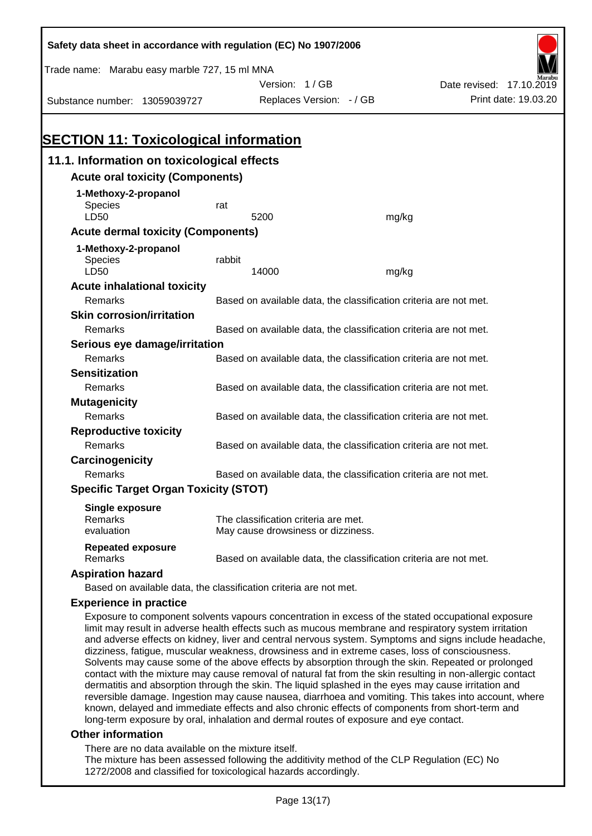| Safety data sheet in accordance with regulation (EC) No 1907/2006 |        |                                                                   |       |                                                                                                      |
|-------------------------------------------------------------------|--------|-------------------------------------------------------------------|-------|------------------------------------------------------------------------------------------------------|
| Trade name: Marabu easy marble 727, 15 ml MNA                     |        |                                                                   |       |                                                                                                      |
|                                                                   |        | Version: 1/GB                                                     |       | Date revised: 17.10.2019                                                                             |
| Substance number: 13059039727                                     |        | Replaces Version: - / GB                                          |       | Print date: 19.03.20                                                                                 |
|                                                                   |        |                                                                   |       |                                                                                                      |
|                                                                   |        |                                                                   |       |                                                                                                      |
| <b>SECTION 11: Toxicological information</b>                      |        |                                                                   |       |                                                                                                      |
| 11.1. Information on toxicological effects                        |        |                                                                   |       |                                                                                                      |
| <b>Acute oral toxicity (Components)</b>                           |        |                                                                   |       |                                                                                                      |
| 1-Methoxy-2-propanol                                              |        |                                                                   |       |                                                                                                      |
| <b>Species</b>                                                    | rat    |                                                                   |       |                                                                                                      |
| LD50                                                              |        | 5200                                                              | mg/kg |                                                                                                      |
| <b>Acute dermal toxicity (Components)</b>                         |        |                                                                   |       |                                                                                                      |
| 1-Methoxy-2-propanol                                              |        |                                                                   |       |                                                                                                      |
| Species                                                           | rabbit |                                                                   |       |                                                                                                      |
| LD50                                                              |        | 14000                                                             | mg/kg |                                                                                                      |
| <b>Acute inhalational toxicity</b><br>Remarks                     |        | Based on available data, the classification criteria are not met. |       |                                                                                                      |
| <b>Skin corrosion/irritation</b>                                  |        |                                                                   |       |                                                                                                      |
| Remarks                                                           |        |                                                                   |       |                                                                                                      |
|                                                                   |        | Based on available data, the classification criteria are not met. |       |                                                                                                      |
| Serious eye damage/irritation<br>Remarks                          |        | Based on available data, the classification criteria are not met. |       |                                                                                                      |
| <b>Sensitization</b>                                              |        |                                                                   |       |                                                                                                      |
| Remarks                                                           |        | Based on available data, the classification criteria are not met. |       |                                                                                                      |
| <b>Mutagenicity</b>                                               |        |                                                                   |       |                                                                                                      |
| Remarks                                                           |        | Based on available data, the classification criteria are not met. |       |                                                                                                      |
| <b>Reproductive toxicity</b>                                      |        |                                                                   |       |                                                                                                      |
| Remarks                                                           |        | Based on available data, the classification criteria are not met. |       |                                                                                                      |
| Carcinogenicity                                                   |        |                                                                   |       |                                                                                                      |
| Remarks                                                           |        | Based on available data, the classification criteria are not met. |       |                                                                                                      |
| <b>Specific Target Organ Toxicity (STOT)</b>                      |        |                                                                   |       |                                                                                                      |
|                                                                   |        |                                                                   |       |                                                                                                      |
| <b>Single exposure</b><br>Remarks                                 |        | The classification criteria are met.                              |       |                                                                                                      |
| evaluation                                                        |        | May cause drowsiness or dizziness.                                |       |                                                                                                      |
| <b>Repeated exposure</b>                                          |        |                                                                   |       |                                                                                                      |
| Remarks                                                           |        | Based on available data, the classification criteria are not met. |       |                                                                                                      |
| <b>Aspiration hazard</b>                                          |        |                                                                   |       |                                                                                                      |
| Based on available data, the classification criteria are not met. |        |                                                                   |       |                                                                                                      |
| <b>Experience in practice</b>                                     |        |                                                                   |       |                                                                                                      |
|                                                                   |        |                                                                   |       | Exposure to component solvents vapours concentration in excess of the stated occupational exposure   |
|                                                                   |        |                                                                   |       | limit may result in adverse health effects such as mucous membrane and respiratory system irritation |

and adverse effects on kidney, liver and central nervous system. Symptoms and signs include headache, dizziness, fatigue, muscular weakness, drowsiness and in extreme cases, loss of consciousness. Solvents may cause some of the above effects by absorption through the skin. Repeated or prolonged contact with the mixture may cause removal of natural fat from the skin resulting in non-allergic contact dermatitis and absorption through the skin. The liquid splashed in the eyes may cause irritation and reversible damage. Ingestion may cause nausea, diarrhoea and vomiting. This takes into account, where known, delayed and immediate effects and also chronic effects of components from short-term and long-term exposure by oral, inhalation and dermal routes of exposure and eye contact.

#### **Other information**

There are no data available on the mixture itself.

The mixture has been assessed following the additivity method of the CLP Regulation (EC) No 1272/2008 and classified for toxicological hazards accordingly.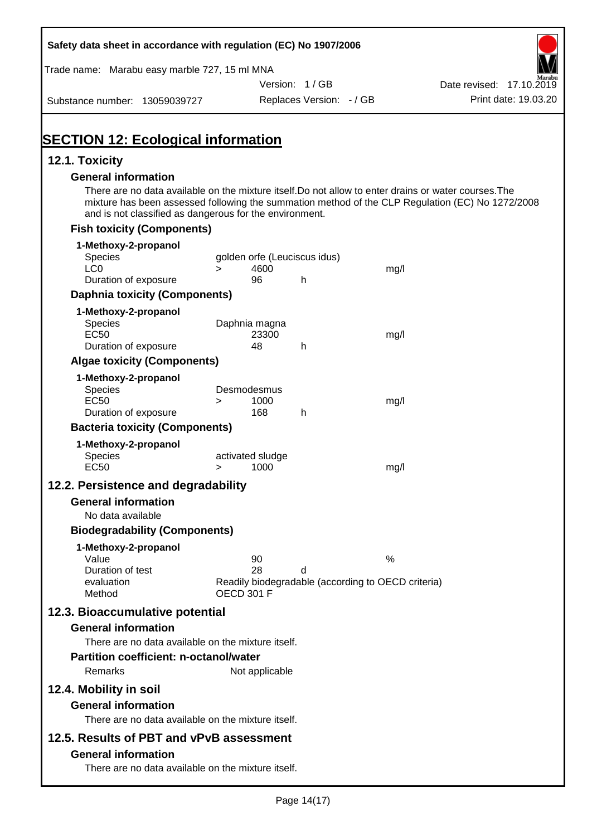| Safety data sheet in accordance with regulation (EC) No 1907/2006                                                                                                                                                                                                    |                   |                  |                                                    |      |                          |
|----------------------------------------------------------------------------------------------------------------------------------------------------------------------------------------------------------------------------------------------------------------------|-------------------|------------------|----------------------------------------------------|------|--------------------------|
| Trade name: Marabu easy marble 727, 15 ml MNA                                                                                                                                                                                                                        |                   |                  |                                                    |      |                          |
|                                                                                                                                                                                                                                                                      |                   |                  | Version: 1 / GB                                    |      | Date revised: 17.10.2019 |
| Substance number: 13059039727                                                                                                                                                                                                                                        |                   |                  | Replaces Version: - / GB                           |      | Print date: 19.03.20     |
| <b>SECTION 12: Ecological information</b>                                                                                                                                                                                                                            |                   |                  |                                                    |      |                          |
| 12.1. Toxicity                                                                                                                                                                                                                                                       |                   |                  |                                                    |      |                          |
| <b>General information</b>                                                                                                                                                                                                                                           |                   |                  |                                                    |      |                          |
| There are no data available on the mixture itself. Do not allow to enter drains or water courses. The<br>mixture has been assessed following the summation method of the CLP Regulation (EC) No 1272/2008<br>and is not classified as dangerous for the environment. |                   |                  |                                                    |      |                          |
| <b>Fish toxicity (Components)</b>                                                                                                                                                                                                                                    |                   |                  |                                                    |      |                          |
| 1-Methoxy-2-propanol                                                                                                                                                                                                                                                 |                   |                  |                                                    |      |                          |
| Species<br>LC <sub>0</sub>                                                                                                                                                                                                                                           |                   | 4600             | golden orfe (Leuciscus idus)                       |      |                          |
| Duration of exposure                                                                                                                                                                                                                                                 | $\geq$            | 96               | h                                                  | mg/l |                          |
| <b>Daphnia toxicity (Components)</b>                                                                                                                                                                                                                                 |                   |                  |                                                    |      |                          |
| 1-Methoxy-2-propanol                                                                                                                                                                                                                                                 |                   |                  |                                                    |      |                          |
| Species                                                                                                                                                                                                                                                              |                   | Daphnia magna    |                                                    |      |                          |
| <b>EC50</b><br>Duration of exposure                                                                                                                                                                                                                                  |                   | 23300<br>48      | h.                                                 | mg/l |                          |
| <b>Algae toxicity (Components)</b>                                                                                                                                                                                                                                   |                   |                  |                                                    |      |                          |
| 1-Methoxy-2-propanol                                                                                                                                                                                                                                                 |                   |                  |                                                    |      |                          |
| Species                                                                                                                                                                                                                                                              |                   | Desmodesmus      |                                                    |      |                          |
| <b>EC50</b>                                                                                                                                                                                                                                                          | $\geq$            | 1000             |                                                    | mg/l |                          |
| Duration of exposure<br><b>Bacteria toxicity (Components)</b>                                                                                                                                                                                                        |                   | 168              | h                                                  |      |                          |
|                                                                                                                                                                                                                                                                      |                   |                  |                                                    |      |                          |
| 1-Methoxy-2-propanol<br>Species                                                                                                                                                                                                                                      |                   | activated sludge |                                                    |      |                          |
| <b>EC50</b>                                                                                                                                                                                                                                                          | $\geq$            | 1000             |                                                    | mg/l |                          |
| 12.2. Persistence and degradability                                                                                                                                                                                                                                  |                   |                  |                                                    |      |                          |
| <b>General information</b>                                                                                                                                                                                                                                           |                   |                  |                                                    |      |                          |
| No data available                                                                                                                                                                                                                                                    |                   |                  |                                                    |      |                          |
| <b>Biodegradability (Components)</b>                                                                                                                                                                                                                                 |                   |                  |                                                    |      |                          |
| 1-Methoxy-2-propanol                                                                                                                                                                                                                                                 |                   |                  |                                                    |      |                          |
| Value<br>Duration of test                                                                                                                                                                                                                                            |                   | 90<br>28         | d                                                  | $\%$ |                          |
| evaluation                                                                                                                                                                                                                                                           |                   |                  | Readily biodegradable (according to OECD criteria) |      |                          |
| Method                                                                                                                                                                                                                                                               | <b>OECD 301 F</b> |                  |                                                    |      |                          |
| 12.3. Bioaccumulative potential                                                                                                                                                                                                                                      |                   |                  |                                                    |      |                          |
| <b>General information</b>                                                                                                                                                                                                                                           |                   |                  |                                                    |      |                          |
| There are no data available on the mixture itself.                                                                                                                                                                                                                   |                   |                  |                                                    |      |                          |
| <b>Partition coefficient: n-octanol/water</b>                                                                                                                                                                                                                        |                   |                  |                                                    |      |                          |
| Remarks                                                                                                                                                                                                                                                              |                   | Not applicable   |                                                    |      |                          |
| 12.4. Mobility in soil                                                                                                                                                                                                                                               |                   |                  |                                                    |      |                          |
| <b>General information</b>                                                                                                                                                                                                                                           |                   |                  |                                                    |      |                          |
| There are no data available on the mixture itself.                                                                                                                                                                                                                   |                   |                  |                                                    |      |                          |
| 12.5. Results of PBT and vPvB assessment                                                                                                                                                                                                                             |                   |                  |                                                    |      |                          |
| <b>General information</b>                                                                                                                                                                                                                                           |                   |                  |                                                    |      |                          |
| There are no data available on the mixture itself.                                                                                                                                                                                                                   |                   |                  |                                                    |      |                          |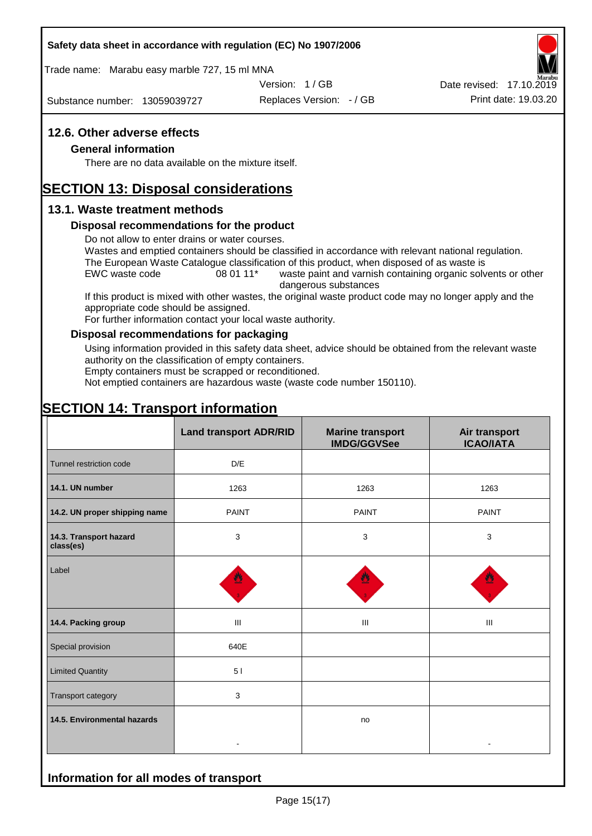#### **Safety data sheet in accordance with regulation (EC) No 1907/2006**

Trade name: Marabu easy marble 727, 15 ml MNA

Version: 1 / GB

Substance number: 13059039727

Replaces Version: - / GB Print date: 19.03.20 Date revised: 17.10.2019

## **12.6. Other adverse effects**

#### **General information**

There are no data available on the mixture itself.

# **SECTION 13: Disposal considerations**

### **13.1. Waste treatment methods**

#### **Disposal recommendations for the product**

Do not allow to enter drains or water courses.

Wastes and emptied containers should be classified in accordance with relevant national regulation. The European Waste Catalogue classification of this product, when disposed of as waste is

EWC waste code 08 01 11<sup>\*</sup> waste paint and varnish containing organic solvents or other dangerous substances

If this product is mixed with other wastes, the original waste product code may no longer apply and the appropriate code should be assigned.

For further information contact your local waste authority.

#### **Disposal recommendations for packaging**

Using information provided in this safety data sheet, advice should be obtained from the relevant waste authority on the classification of empty containers.

Empty containers must be scrapped or reconditioned.

Not emptied containers are hazardous waste (waste code number 150110).

# **SECTION 14: Transport information**

**Information for all modes of transport**

|                                     | <b>Land transport ADR/RID</b> | <b>Marine transport</b><br><b>IMDG/GGVSee</b> | Air transport<br><b>ICAO/IATA</b> |
|-------------------------------------|-------------------------------|-----------------------------------------------|-----------------------------------|
| Tunnel restriction code             | D/E                           |                                               |                                   |
| 14.1. UN number                     | 1263                          | 1263                                          | 1263                              |
| 14.2. UN proper shipping name       | <b>PAINT</b>                  | <b>PAINT</b>                                  | <b>PAINT</b>                      |
| 14.3. Transport hazard<br>class(es) | 3                             | $\mathbf{3}$                                  | 3                                 |
| Label                               |                               |                                               |                                   |
| 14.4. Packing group                 | Ш                             | III                                           | Ш                                 |
| Special provision                   | 640E                          |                                               |                                   |
| <b>Limited Quantity</b>             | 51                            |                                               |                                   |
| Transport category                  | $\mathbf{3}$                  |                                               |                                   |
| 14.5. Environmental hazards         |                               | no                                            |                                   |
|                                     |                               |                                               |                                   |

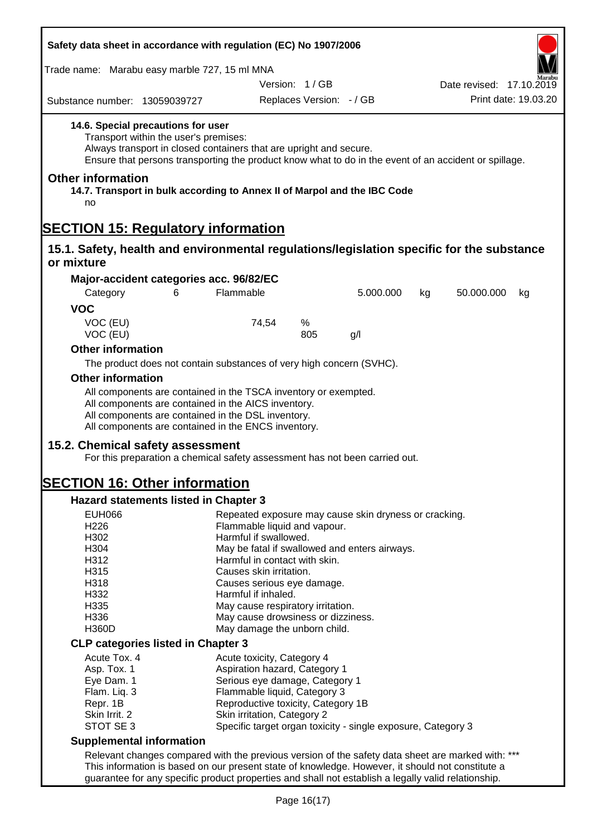| Safety data sheet in accordance with regulation (EC) No 1907/2006                                          |                                       |                                                                                                                                                                                                                                     |                          |           |    |                          |                      |
|------------------------------------------------------------------------------------------------------------|---------------------------------------|-------------------------------------------------------------------------------------------------------------------------------------------------------------------------------------------------------------------------------------|--------------------------|-----------|----|--------------------------|----------------------|
| Trade name: Marabu easy marble 727, 15 ml MNA                                                              |                                       |                                                                                                                                                                                                                                     |                          |           |    |                          |                      |
|                                                                                                            |                                       |                                                                                                                                                                                                                                     | Version: 1/GB            |           |    | Date revised: 17.10.2019 |                      |
| Substance number: 13059039727                                                                              |                                       |                                                                                                                                                                                                                                     | Replaces Version: - / GB |           |    |                          | Print date: 19.03.20 |
| 14.6. Special precautions for user                                                                         | Transport within the user's premises: | Always transport in closed containers that are upright and secure.<br>Ensure that persons transporting the product know what to do in the event of an accident or spillage.                                                         |                          |           |    |                          |                      |
| <b>Other information</b><br>14.7. Transport in bulk according to Annex II of Marpol and the IBC Code<br>no |                                       |                                                                                                                                                                                                                                     |                          |           |    |                          |                      |
| <b>SECTION 15: Regulatory information</b>                                                                  |                                       |                                                                                                                                                                                                                                     |                          |           |    |                          |                      |
| 15.1. Safety, health and environmental regulations/legislation specific for the substance                  |                                       |                                                                                                                                                                                                                                     |                          |           |    |                          |                      |
| or mixture                                                                                                 |                                       |                                                                                                                                                                                                                                     |                          |           |    |                          |                      |
| Major-accident categories acc. 96/82/EC                                                                    |                                       |                                                                                                                                                                                                                                     |                          |           |    |                          |                      |
| Category                                                                                                   | 6                                     | Flammable                                                                                                                                                                                                                           |                          | 5.000.000 | kg | 50.000.000               | kg                   |
| <b>VOC</b>                                                                                                 |                                       |                                                                                                                                                                                                                                     |                          |           |    |                          |                      |
| VOC (EU)<br>VOC (EU)                                                                                       |                                       | 74,54                                                                                                                                                                                                                               | %<br>805                 | g/l       |    |                          |                      |
| <b>Other information</b>                                                                                   |                                       |                                                                                                                                                                                                                                     |                          |           |    |                          |                      |
|                                                                                                            |                                       |                                                                                                                                                                                                                                     |                          |           |    |                          |                      |
|                                                                                                            |                                       | The product does not contain substances of very high concern (SVHC).                                                                                                                                                                |                          |           |    |                          |                      |
| <b>Other information</b>                                                                                   |                                       |                                                                                                                                                                                                                                     |                          |           |    |                          |                      |
|                                                                                                            |                                       | All components are contained in the TSCA inventory or exempted.<br>All components are contained in the AICS inventory.<br>All components are contained in the DSL inventory.<br>All components are contained in the ENCS inventory. |                          |           |    |                          |                      |
|                                                                                                            |                                       |                                                                                                                                                                                                                                     |                          |           |    |                          |                      |
| 15.2. Chemical safety assessment                                                                           |                                       | For this preparation a chemical safety assessment has not been carried out.                                                                                                                                                         |                          |           |    |                          |                      |
| <b>SECTION 16: Other information</b>                                                                       |                                       |                                                                                                                                                                                                                                     |                          |           |    |                          |                      |
| <b>Hazard statements listed in Chapter 3</b>                                                               |                                       |                                                                                                                                                                                                                                     |                          |           |    |                          |                      |
| <b>EUH066</b>                                                                                              |                                       |                                                                                                                                                                                                                                     |                          |           |    |                          |                      |
| H226                                                                                                       |                                       | Repeated exposure may cause skin dryness or cracking.<br>Flammable liquid and vapour.                                                                                                                                               |                          |           |    |                          |                      |
| H302                                                                                                       |                                       | Harmful if swallowed.                                                                                                                                                                                                               |                          |           |    |                          |                      |
| H304                                                                                                       |                                       | May be fatal if swallowed and enters airways.                                                                                                                                                                                       |                          |           |    |                          |                      |
| H312                                                                                                       |                                       | Harmful in contact with skin.                                                                                                                                                                                                       |                          |           |    |                          |                      |
| H315                                                                                                       |                                       | Causes skin irritation.                                                                                                                                                                                                             |                          |           |    |                          |                      |
| H318                                                                                                       |                                       | Causes serious eye damage.                                                                                                                                                                                                          |                          |           |    |                          |                      |
| H332                                                                                                       |                                       | Harmful if inhaled.                                                                                                                                                                                                                 |                          |           |    |                          |                      |
| H335                                                                                                       |                                       | May cause respiratory irritation.                                                                                                                                                                                                   |                          |           |    |                          |                      |
| H336                                                                                                       |                                       | May cause drowsiness or dizziness.<br>May damage the unborn child.                                                                                                                                                                  |                          |           |    |                          |                      |
| <b>H360D</b>                                                                                               |                                       |                                                                                                                                                                                                                                     |                          |           |    |                          |                      |
| <b>CLP categories listed in Chapter 3</b>                                                                  |                                       |                                                                                                                                                                                                                                     |                          |           |    |                          |                      |
| Acute Tox. 4                                                                                               |                                       | Acute toxicity, Category 4                                                                                                                                                                                                          |                          |           |    |                          |                      |
| Asp. Tox. 1                                                                                                |                                       | Aspiration hazard, Category 1                                                                                                                                                                                                       |                          |           |    |                          |                      |
| Eye Dam. 1                                                                                                 |                                       | Serious eye damage, Category 1                                                                                                                                                                                                      |                          |           |    |                          |                      |
| Flam. Liq. 3                                                                                               |                                       | Flammable liquid, Category 3                                                                                                                                                                                                        |                          |           |    |                          |                      |
| Repr. 1B                                                                                                   |                                       | Reproductive toxicity, Category 1B                                                                                                                                                                                                  |                          |           |    |                          |                      |
| Skin Irrit. 2                                                                                              |                                       | Skin irritation, Category 2<br>Specific target organ toxicity - single exposure, Category 3                                                                                                                                         |                          |           |    |                          |                      |
| STOT SE 3                                                                                                  |                                       |                                                                                                                                                                                                                                     |                          |           |    |                          |                      |
| <b>Supplemental information</b>                                                                            |                                       |                                                                                                                                                                                                                                     |                          |           |    |                          |                      |
|                                                                                                            |                                       | Relevant changes compared with the previous version of the safety data sheet are marked with: ***                                                                                                                                   |                          |           |    |                          |                      |
|                                                                                                            |                                       | This information is based on our present state of knowledge. However, it should not constitute a                                                                                                                                    |                          |           |    |                          |                      |
|                                                                                                            |                                       | guarantee for any specific product properties and shall not establish a legally valid relationship.                                                                                                                                 |                          |           |    |                          |                      |